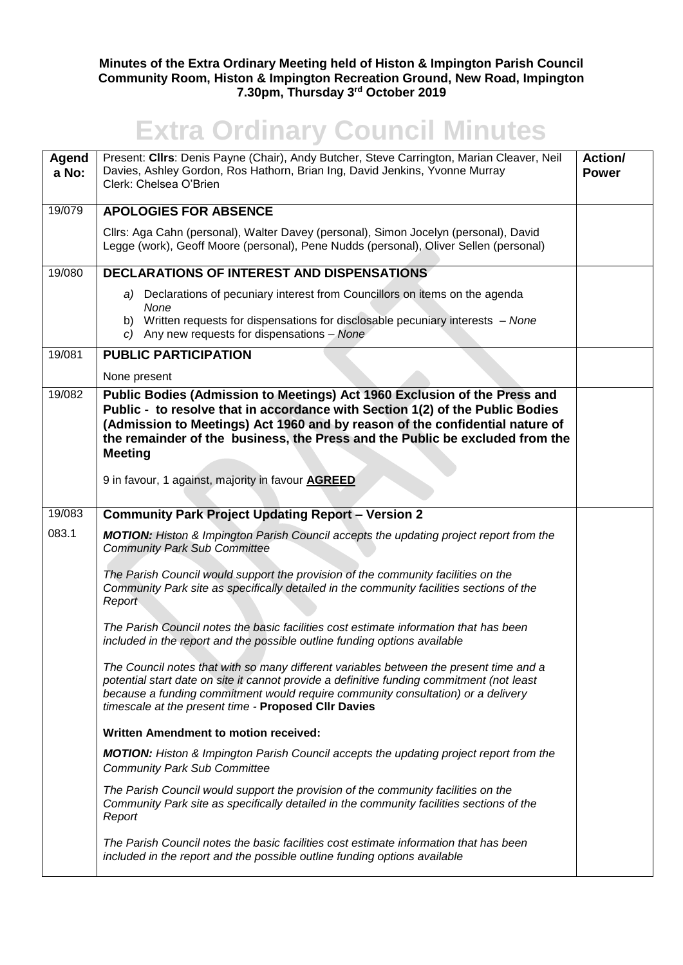## **Minutes of the Extra Ordinary Meeting held of Histon & Impington Parish Council Community Room, Histon & Impington Recreation Ground, New Road, Impington 7.30pm, Thursday 3rd October 2019**

## **Extra Ordinary Council Minutes**

| Agend<br>a No: | Present: Cllrs: Denis Payne (Chair), Andy Butcher, Steve Carrington, Marian Cleaver, Neil<br>Davies, Ashley Gordon, Ros Hathorn, Brian Ing, David Jenkins, Yvonne Murray<br>Clerk: Chelsea O'Brien                                                                                                                                           | Action/<br><b>Power</b> |
|----------------|----------------------------------------------------------------------------------------------------------------------------------------------------------------------------------------------------------------------------------------------------------------------------------------------------------------------------------------------|-------------------------|
| 19/079         | <b>APOLOGIES FOR ABSENCE</b>                                                                                                                                                                                                                                                                                                                 |                         |
|                | Cllrs: Aga Cahn (personal), Walter Davey (personal), Simon Jocelyn (personal), David<br>Legge (work), Geoff Moore (personal), Pene Nudds (personal), Oliver Sellen (personal)                                                                                                                                                                |                         |
| 19/080         | DECLARATIONS OF INTEREST AND DISPENSATIONS                                                                                                                                                                                                                                                                                                   |                         |
|                | a) Declarations of pecuniary interest from Councillors on items on the agenda<br>None                                                                                                                                                                                                                                                        |                         |
|                | b) Written requests for dispensations for disclosable pecuniary interests - None<br>c) Any new requests for dispensations $-$ None                                                                                                                                                                                                           |                         |
| 19/081         | <b>PUBLIC PARTICIPATION</b>                                                                                                                                                                                                                                                                                                                  |                         |
|                | None present                                                                                                                                                                                                                                                                                                                                 |                         |
| 19/082         | Public Bodies (Admission to Meetings) Act 1960 Exclusion of the Press and<br>Public - to resolve that in accordance with Section 1(2) of the Public Bodies<br>(Admission to Meetings) Act 1960 and by reason of the confidential nature of<br>the remainder of the business, the Press and the Public be excluded from the<br><b>Meeting</b> |                         |
|                | 9 in favour, 1 against, majority in favour <b>AGREED</b>                                                                                                                                                                                                                                                                                     |                         |
| 19/083         | <b>Community Park Project Updating Report - Version 2</b>                                                                                                                                                                                                                                                                                    |                         |
| 083.1          | <b>MOTION:</b> Histon & Impington Parish Council accepts the updating project report from the<br><b>Community Park Sub Committee</b>                                                                                                                                                                                                         |                         |
|                | The Parish Council would support the provision of the community facilities on the<br>Community Park site as specifically detailed in the community facilities sections of the<br>Report                                                                                                                                                      |                         |
|                | The Parish Council notes the basic facilities cost estimate information that has been<br>included in the report and the possible outline funding options available                                                                                                                                                                           |                         |
|                | The Council notes that with so many different variables between the present time and a<br>potential start date on site it cannot provide a definitive funding commitment (not least<br>because a funding commitment would require community consultation) or a delivery<br>timescale at the present time - Proposed CIIr Davies              |                         |
|                | Written Amendment to motion received:                                                                                                                                                                                                                                                                                                        |                         |
|                | <b>MOTION:</b> Histon & Impington Parish Council accepts the updating project report from the<br><b>Community Park Sub Committee</b>                                                                                                                                                                                                         |                         |
|                | The Parish Council would support the provision of the community facilities on the<br>Community Park site as specifically detailed in the community facilities sections of the<br>Report                                                                                                                                                      |                         |
|                | The Parish Council notes the basic facilities cost estimate information that has been<br>included in the report and the possible outline funding options available                                                                                                                                                                           |                         |